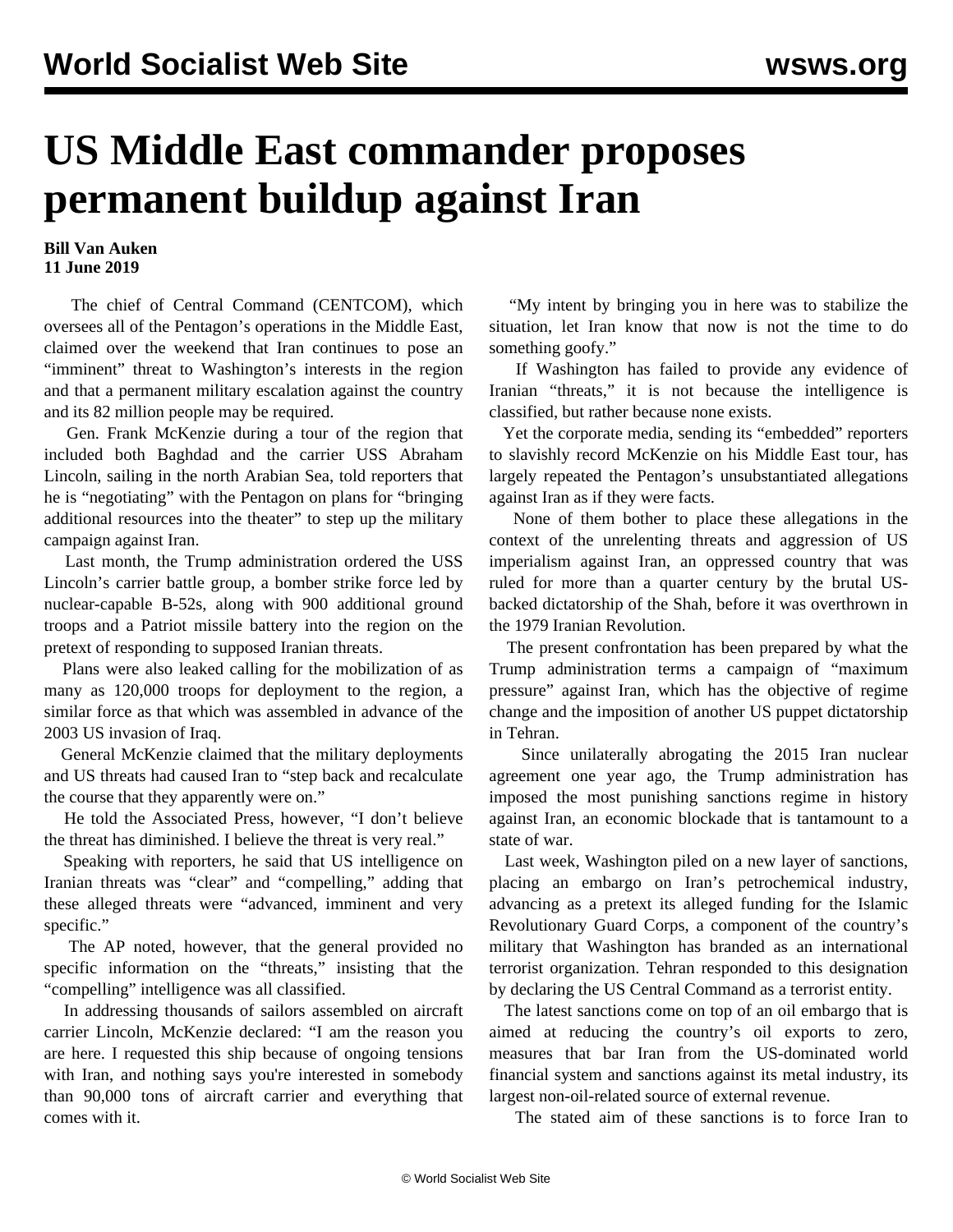## **US Middle East commander proposes permanent buildup against Iran**

## **Bill Van Auken 11 June 2019**

 The chief of Central Command (CENTCOM), which oversees all of the Pentagon's operations in the Middle East, claimed over the weekend that Iran continues to pose an "imminent" threat to Washington's interests in the region and that a permanent military escalation against the country and its 82 million people may be required.

 Gen. Frank McKenzie during a tour of the region that included both Baghdad and the carrier USS Abraham Lincoln, sailing in the north Arabian Sea, told reporters that he is "negotiating" with the Pentagon on plans for "bringing additional resources into the theater" to step up the military campaign against Iran.

 Last month, the Trump administration ordered the USS Lincoln's carrier battle group, a bomber strike force led by nuclear-capable B-52s, along with 900 additional ground troops and a Patriot missile battery into the region on the pretext of responding to supposed Iranian threats.

 Plans were also leaked calling for the mobilization of as many as 120,000 troops for deployment to the region, a similar force as that which was assembled in advance of the 2003 US invasion of Iraq.

 General McKenzie claimed that the military deployments and US threats had caused Iran to "step back and recalculate the course that they apparently were on."

 He told the Associated Press, however, "I don't believe the threat has diminished. I believe the threat is very real."

 Speaking with reporters, he said that US intelligence on Iranian threats was "clear" and "compelling," adding that these alleged threats were "advanced, imminent and very specific."

 The AP noted, however, that the general provided no specific information on the "threats," insisting that the "compelling" intelligence was all classified.

 In addressing thousands of sailors assembled on aircraft carrier Lincoln, McKenzie declared: "I am the reason you are here. I requested this ship because of ongoing tensions with Iran, and nothing says you're interested in somebody than 90,000 tons of aircraft carrier and everything that comes with it.

 "My intent by bringing you in here was to stabilize the situation, let Iran know that now is not the time to do something goofy."

 If Washington has failed to provide any evidence of Iranian "threats," it is not because the intelligence is classified, but rather because none exists.

 Yet the corporate media, sending its "embedded" reporters to slavishly record McKenzie on his Middle East tour, has largely repeated the Pentagon's unsubstantiated allegations against Iran as if they were facts.

 None of them bother to place these allegations in the context of the unrelenting threats and aggression of US imperialism against Iran, an oppressed country that was ruled for more than a quarter century by the brutal USbacked dictatorship of the Shah, before it was overthrown in the 1979 Iranian Revolution.

 The present confrontation has been prepared by what the Trump administration terms a campaign of "maximum pressure" against Iran, which has the objective of regime change and the imposition of another US puppet dictatorship in Tehran.

 Since unilaterally abrogating the 2015 Iran nuclear agreement one year ago, the Trump administration has imposed the most punishing sanctions regime in history against Iran, an economic blockade that is tantamount to a state of war.

 Last week, Washington piled on a new layer of sanctions, placing an embargo on Iran's petrochemical industry, advancing as a pretext its alleged funding for the Islamic Revolutionary Guard Corps, a component of the country's military that Washington has branded as an international terrorist organization. Tehran responded to this designation by declaring the US Central Command as a terrorist entity.

 The latest sanctions come on top of an oil embargo that is aimed at reducing the country's oil exports to zero, measures that bar Iran from the US-dominated world financial system and sanctions against its metal industry, its largest non-oil-related source of external revenue.

The stated aim of these sanctions is to force Iran to